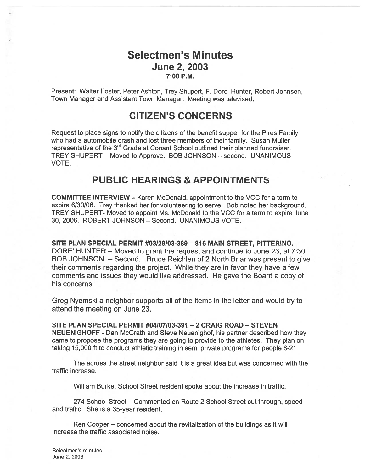## Selectmen's Minutes **June 2, 2003** 7:00 P.M.

Present: Walter Foster, Peter Ashton, Trey Shupert, F. Dore' Hunter, Robert Johnson, Town Manager and Assistant Town Manager. Meeting was televised.

# CITIZEN'S CONCERNS

Request to place signs to notify the citizens of the benefit supper for the Pires Family who had <sup>a</sup> automobile crash and lost three members of their family. Susan Muller representative of the 3<sup>rd</sup> Grade at Conant School outlined their planned fundraiser. TREY SHUPERT – Moved to Approve. BOB JOHNSON – second. UNANIMOUS VOTE.

## PUBLIC HEARINGS & APPOINTMENTS

COMMITTEE INTERVIEW — Karen McDonald, appointment to the VCC for <sup>a</sup> term to expire 6/30/06. Trey thanked her for volunteering to serve. Bob noted her background. TREY SHUPERT- Moved to appoint Ms. McDonald to the VCC for <sup>a</sup> term to expire June 30, 2006. ROBERT JOHNSON — Second. UNANIMOUS VOTE.

SITE PLAN SPECIAL PERMIT #03129/03-389 — 816 MAIN STREET, PITTERINO. DORE' HUNTER — Moved to gran<sup>t</sup> the reques<sup>t</sup> and continue to June 23, at 7:30. BOB JOHNSON – Second. Bruce Reichlen of 2 North Briar was present to give their comments regarding the project. While they are in favor they have <sup>a</sup> few comments and issues they would like addressed. He gave the Board <sup>a</sup> copy of his concerns.

Greg Nyemski <sup>a</sup> neighbor supports all of the items in the leffer and would try to attend the meeting on June 23.

SITE PLAN SPECIAL PERMIT #04I07I03-391 —2 CRAIG ROAD — STEVEN NEUENIGHOFF - Dan McGrath and Steve Neuenighof, his partner described how they came to propose the programs they are going to provide to the athletes. They plan on taking 15,000 ft to conduct athletic training in semi private programs for people 8-21

The across the street neighbor said it is <sup>a</sup> grea<sup>t</sup> idea but was concerned with the traffic increase.

William Burke, School Street resident spoke about the increase in traffic.

274 School Street — Commented on Route 2 School Street cut through, speed and traffic. She is <sup>a</sup> 35-year resident.

Ken Cooper — concerned about the revitalization of the buildings as it will increase the traffic associated noise.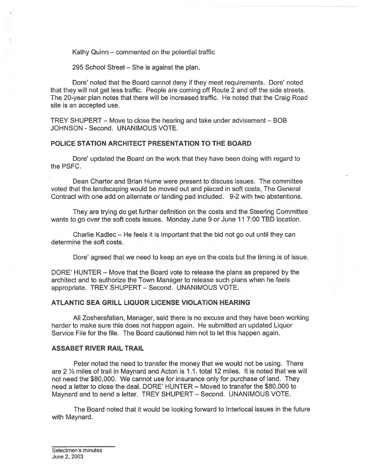Kathy Quinn — commented on the potential traffic

295 School Street — She is against the plan.

Dore' noted that the Board cannot deny if they meet requirements. Dore' noted that they will not ge<sup>t</sup> less traffic. People are coming off Route 2 and off the side streets. The 20-year plan notes that there will be increased traffic. He noted that the Craig Road site is an accepted use.

TREY SHUPERT — Move to close the hearing and take under advisement — BOB JOHNSON - Second. UNANIMOUS VOTE.

### POLICE STATION ARCHITECT PRESENTATION TO THE BOARD

Dore' updated the Board on the work that they have been doing with regard to the PSFC.

Dean Charter and Brian Hume were presen<sup>t</sup> to discuss issues. The committee voted that the landscaping would be moved out and placed in soft costs, The General Contract with one add on alternate or landing pad included. 9-2 with two abstentions.

They are trying do ge<sup>t</sup> further definition on the costs and the Steering Committee wants to go over the soft costs issues. Monday June 9 or June 11 7:00 TBD location.

Charlie Kadlec — He feels it is important that the bid not go out until they can determine the soft costs.

Dore' agreed that we need to keep an eye on the costs but the timing is of issue.

DORE' HUNTER — Move that the Board vote to release the plans as prepared by the architect and to authorize the Town Manager to release such plans when he feels appropriate. TREY SHUPERT — Second. UNANIMOUS VOTE.

### ATLANTIC SEA GRILL LIQUOR LICENSE VIOLATION HEARING

Ali Zosherafatian, Manager, said there is no excuse and they have been working harder to make sure this does not happen again. He submitted an updated Liquor Service File for the file. The Board cautioned him not to let this happen again.

#### ASSABET RIVER RAIL TRAIL

Peter noted the need to transfer the money that we would not be using. There are 2 1/2 miles of trail in Maynard and Acton is 1.1. total 12 miles. It is noted that we will not need the \$80,000. We cannot use for insurance only for purchase of land. They need <sup>a</sup> letter to close the deal. DORE' HUNTER — Moved to transfer the \$80,000 to Maynard and to send <sup>a</sup> letter. TREY SHUPERT — Second. UNANIMOUS VOTE.

The Board noted that it would be looking forward to Interlocal issues in the future with Maynard.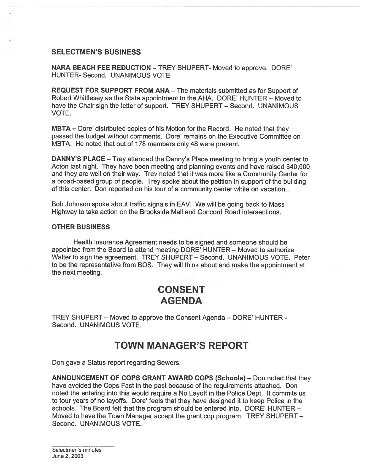### SELECTMEN'S BUSINESS

NARA BEACH FEE REDUCTION — TREY SHUPERT- Moved to approve. DORE' HUNTER- Second. UNANIMOUS VOTE

REQUEST FOR SUPPORT FROM AHA — The materials submitted as for Support of Robert Whittlesey as the State appointment to the AHA. DORE' HUNTER — Moved to have the Chair sign the letter of support. TREY SHUPERT — Second. UNANIMOUS VOTE.

MBTA — Dore' distributed copies of his Motion for the Record. He noted that they passed the budget without comments. Dote' remains on the Executive Committee on MBTA. He noted that out of 178 members only 48 were present.

DANNY'S PLACE — Trey attended the Danny's Place meeting to bring <sup>a</sup> youth center to Acton last night. They have been meeting and planning events and have raised \$40,000 and they are well on their way. Trev noted that it was more like <sup>a</sup> Community Center for <sup>a</sup> broad-based group of people. Trey spoke about the petition in suppor<sup>t</sup> of the building of this center. Don reported on his tour of <sup>a</sup> community center while on vacation...

Bob Johnson spoke about traffic signals in EAV. We will be going back to Mass Highway to take action on the Brookside Mall and Concord Road intersections.

#### OTHER BUSINESS

Health Insurance Agreement needs to be signed and someone should be appointed from the Board to attend meeting DORE' HUNTER — Moved to authorize Walter to sign the agreement. TREY SHUPERT — Second. UNANIMOUS VOTE. Peter to be the representative from BOS. They will think about and make the appointment at the next meeting.

# CONSENT **AGENDA**

TREY SHUPERT — Moved to approve the Consent Agenda — DORE' HUNTER - Second. UNANIMOUS VOTE.

## TOWN MANAGER'S REPORT

Don gave <sup>a</sup> Status repor<sup>t</sup> regarding Sewers.

ANNOUNCEMENT OF COPS GRANT AWARD COPS (Schools) — Don noted that they have avoided the Cops Fast in the pas<sup>t</sup> because of the requirements attached. Don noted the entering into this would require <sup>a</sup> No Layoff in the Police Dept. It commits us to four years of no layoffs. Dore' feels that they have designed it to keep Police in the schools. The Board felt that the program should be entered into. DORE' HUNTER — Moved to have the Town Manager accep<sup>t</sup> the gran<sup>t</sup> cop program. TREY SHUPERT — Second. UNANIMOUS VOTE.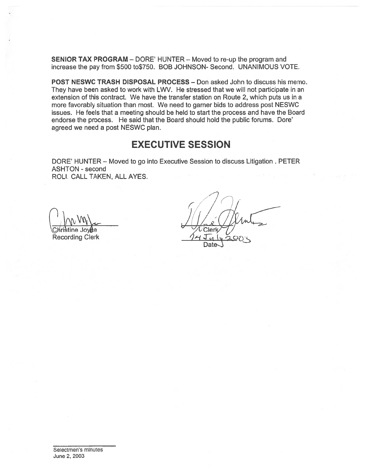SENIOR TAX PROGRAM — DORE' HUNTER — Moved to re-up the program and increase the pay from \$500 to\$750. BOB JOHNSON- Second. UNANIMOUS VOTE.

POST NESWC TRASH DISPOSAL PROCESS — Don asked John to discuss his memo. They have been asked to work with LWV. He stressed that we will not participate in an extension of this contract. We have the transfer station on Route 2, which puts us in <sup>a</sup> more favorably situation than most. We need to garner bids to address pos<sup>t</sup> NESWC issues. He feels that <sup>a</sup> meeting should be held to start the process and have the Board endorse the process. He said that the Board should hold the public forums. Dore' agreed we need <sup>a</sup> pos<sup>t</sup> NESWC plan.

## EXECUTIVE SESSION

DORE' HUNTER — Moved to go into Executive Session to discuss Litigation . PETER ASHTON - second ROLl CALL TAKEN, ALL AYES.

**Recording Clerk** 

 $\sim$  / ( )  $\vee$  Christine Joy $t$ e  $\vee$   $\vee$  Cler Date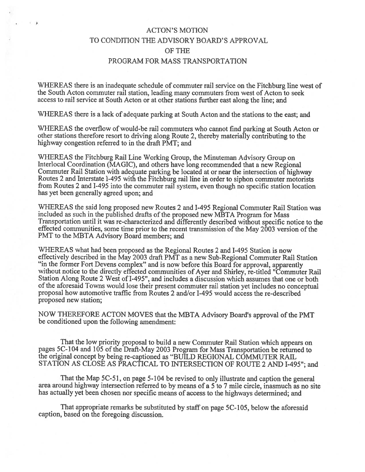## ACTON'S MOTION TO CONDITION THE ADVISORY BOARD'S APPROVAL Of THE PROGRAM FOR MASS TRANSPORTATION

 $\overline{1}$  .

WHEREAS there is an inadequate schedule of commuter rail service on the Fitchburg line west of the South Acton commuter rail station, leading many commuters from west of Acton to seek access to rail service at South Acton or at other stations further east along the line; and

WHEREAS there is <sup>a</sup> lack of adequate parking at South Acton and the stations to the east; and

WHEREAS the overflow of would-be rail commuters who cannot find parking at South Acton or other stations therefore resort to driving along Route 2, thereby materially contributing to the highway congestion referred to in the draft PMT; and

WHEREAS the Fitchburg Rail Line Working Group, the Minuteman Advisory Group on Interlocal Coordination (MAGIC), and others have long recommended that <sup>a</sup> new Regional Commuter Rail Station with adequate parking be located at or near the intersection of highway Routes <sup>2</sup> and Interstate 1-495 with the Fitchburg rail line in order to siphon commuter motorists from Routes <sup>2</sup> and 1-495 into the commuter rail system, even though no specific station location has ye<sup>t</sup> been generally agreed upon; and

WHEREAS the said long proposed new Routes <sup>2</sup> and 1-495 Regional Commuter Rail Station was included as such in the published drafts of the propose<sup>d</sup> new MBTA Program for Mass effected communities, some time prior to the recent transmission of the May 2003 version of the PMT to the MBTA Advisory Board members; and

WHEREAS what had been proposed as the Regional Routes <sup>2</sup> and 1-495 Station is now effectively described in the May 2003 draft PMT as a new Sub-Regional Commuter Rail Station "in the former Fort Devens complex" and is now before this Board for approval, apparently without notice to the directly effected communities of Ayer and Shirley, re-titled "Commuter Rail Station Along Route 2 West of 1-495", and includes <sup>a</sup> discussion which assumes that one or both of the aforesaid Towns would lose their present commuter rail station yet includes no conceptual proposal how automotive traffic from Routes 2 and/or I-495 would access the re-described proposed new station;

NOW THEREFORE ACTON MOVES that the MBTA Advisory Board's approval of the PMT be conditioned upon the following amendment:

That the low priority proposa<sup>l</sup> to build <sup>a</sup> new Commuter Rail Station which appears on pages 5C-104 and 105 of the Draft-May 2003 Program for Mass Transportation be returned to the original concep<sup>t</sup> by being re-captioned as "BUILD REGIONAL COMMUTER RAIL STATION AS CLOSE AS PRACTICAL TO INTERSECTION OF ROUTE 2 AND 1-495"; and

That the Map 5C-51, on page 5-104 be revised to only illustrate and caption the general area around highway intersection referred to by means of a 5 to 7 mile circle, inasmuch as no site has actually yet been chosen nor specific means of access to the highways determined; and

That appropriate remarks be substituted by staff on page 5C-105, below the aforesaid caption, based on the foregoing discussion.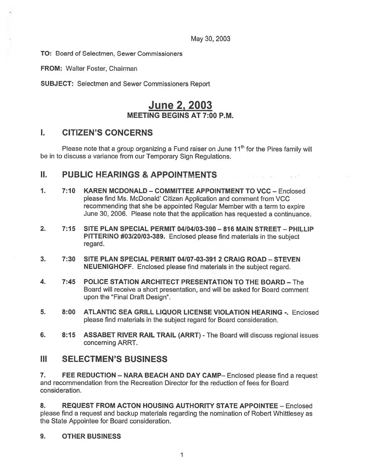May 30, 2003

TO: Board of Selectmen, Sewer Commissioners

FROM: Walter Foster, Chairman

SUBJECT: Selectmen and Sewer Commissioners Report

## June 2, 2003 MEETING BEGINS AT 7:00 P.M.

## I. CITIZEN'S CONCERNS

Please note that a group organizing a Fund raiser on June  $11<sup>th</sup>$  for the Pires family will be in to discuss <sup>a</sup> variance from our Temporary Sign Regulations.

### N. PUBLIC HEARINGS & APPOINTMENTS

- 1. 7:10 KAREN MCDONALD COMMITTEE APPOINTMENT TO VCC Enclosed please find Ms. McDonald' Citizen Application and comment from VCC recommending that she be appointed Regular Member with <sup>a</sup> term to expire June 30, 2006. Please note that the application has requested <sup>a</sup> continuance.
- 2. 7:15 SITE PLAN SPECIAL PERMIT 04104103-390 816 MAIN STREET PHILLIP PITTERINO #03/20/03-389. Enclosed <sup>p</sup>lease find materials in the subject regard.
- 3. 7:30 SITE PLAN SPECIAL PERMIT 04/07-03-391 2 CRAIG ROAD STEVEN NEUENIGHOFF. Enclosed please find materials in the subject regard.
- 4. 7:45 POLICE STATION ARCHITECT PRESENTATION TO THE BOARD The Board will receive <sup>a</sup> short presentation, and will be asked for Board comment upon the "Final Draft Design".
- 5. 8:00 ATLANTIC SEA GRILL LIQUOR LICENSE VIOLATION HEARING -. Enclosed please find materials in the subject regard for Board consideration.
- 6. 8:15 ASSABET RIVER RAIL TRAIL (ARRT) The Board will discuss regional issues concerning ARRT.

### III SELECTMEN'S BUSINESS

7. FEE REDUCTION — NARA BEACH AND DAY CAMP— Enclosed please find <sup>a</sup> reques<sup>t</sup> and recommendation from the Recreation Director for the reduction of fees for Board consideration.

8. REQUEST FROM ACTON HOUSING AUTHORITY STATE APPOINTEE - Enclosed please find <sup>a</sup> reques<sup>t</sup> and backup materials regarding the nomination of Robert Whittlesey as the State Appointee for Board consideration.

9. OTHER BUSINESS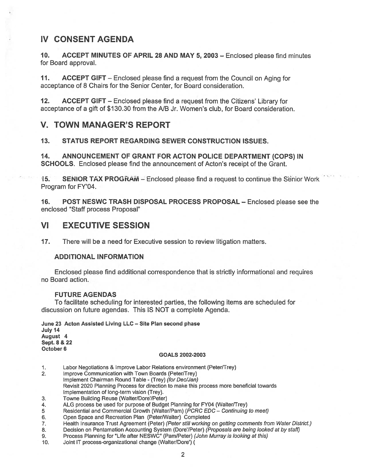## IV CONSENT AGENDA

10. ACCEPT MINUTES OF APRIL 28 AND MAY 5, 2003 — Enclosed please find minutes for Board approval.

11. ACCEPT GIFT — Enclosed please find <sup>a</sup> reques<sup>t</sup> from the Council on Aging for acceptance of 8 Chairs for the Senior Center, for Board consideration.

12. ACCEPT GIFT — Enclosed please find <sup>a</sup> reques<sup>t</sup> from the Citizens' Library for acceptance of <sup>a</sup> gift of \$130.30 from the NB Jr. Women's club, for Board consideration.

### V. TOWN MANAGER'S REPORT

13. STATUS REPORT REGARDING SEWER CONSTRUCTION ISSUES.

14. ANNOUNCEMENT OF GRANT FOR ACTON POLICE DEPARTMENT (COPS) IN SCHOOLS. Enclosed please find the announcement of Acton's receipt of the Grant.

15. SENIOR TAX PROGRAM – Enclosed please find a request to continue the Senior Work Program for FY'04.

16. POST NESWC TRASH DISPOSAL PROCESS PROPOSAL — Enclosed please see the enclosed "Staff process Proposal"

### VI EXECUTIVE SESSION

17. There will be <sup>a</sup> need for Executive session to review litigation matters.

#### ADDITIONAL INFORMATION

Enclosed please find additional correspondence that is strictly informational and requires no Board action.

#### FUTURE AGENDAS

To facilitate scheduling for interested parties, the following items are scheduled for discussion on future agendas. This IS NOT <sup>a</sup> complete Agenda.

June 23 Acton Assisted Living LLC — Site Plan second phase July 14 August 4 Sept. 8 & 22 October 6

#### GOALS 2002-2003

1. Labor Negotiations & Improve Labor Relations environment (Peter/Trey)

2. Improve Communication with Town Boards (Peter/Trey) Implement Chairman Round Table - (Trey) (for Dec/Jan) Revisit 2020 Planning Process for direction to make this process more beneficial towards Implementation of long-term vision (Trey).

- 3. Towne Building Reuse (Walter/Dore'/Peter)
- 4. ALG process be used for purpose of Budget Planning for FY04 (Walter/Trey)
- 5 Residential and Commercial Growth (Walter/Pam) (PCRC EDC Continuing to meet)
- 6. Open Space and Recreation Plan (Peter/Walter) Completed
- 7. Health Insurance Trust Agreement (Peter) (Peter still working on getting comments from Water District.)
- 8. Decision on Pentamation Accounting System (Dore'/Peter) (Proposals are being looked at by staff)
- 9. Process Planning for "Life after NESWC" (Pam/Peter) (John Murray is looking at this)
- 10. Joint IT process-organizational change (Walter/Dore')